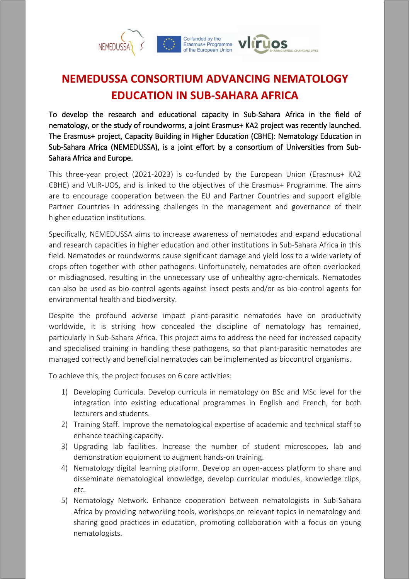

## **NEMEDUSSA CONSORTIUM ADVANCING NEMATOLOGY EDUCATION IN SUB-SAHARA AFRICA**

To develop the research and educational capacity in Sub-Sahara Africa in the field of nematology, or the study of roundworms, a joint Erasmus+ KA2 project was recently launched. The Erasmus+ project, Capacity Building in Higher Education (CBHE): Nematology Education in Sub-Sahara Africa (NEMEDUSSA), is a joint effort by a consortium of Universities from Sub-Sahara Africa and Europe.

This three-year project (2021-2023) is co-funded by the European Union (Erasmus+ KA2 CBHE) and VLIR-UOS, and is linked to the objectives of the Erasmus+ Programme. The aims are to encourage cooperation between the EU and Partner Countries and support eligible Partner Countries in addressing challenges in the management and governance of their higher education institutions.

Specifically, NEMEDUSSA aims to increase awareness of nematodes and expand educational and research capacities in higher education and other institutions in Sub-Sahara Africa in this field. Nematodes or roundworms cause significant damage and yield loss to a wide variety of crops often together with other pathogens. Unfortunately, nematodes are often overlooked or misdiagnosed, resulting in the unnecessary use of unhealthy agro-chemicals. Nematodes can also be used as bio-control agents against insect pests and/or as bio-control agents for environmental health and biodiversity.

Despite the profound adverse impact plant-parasitic nematodes have on productivity worldwide, it is striking how concealed the discipline of nematology has remained, particularly in Sub-Sahara Africa. This project aims to address the need for increased capacity and specialised training in handling these pathogens, so that plant-parasitic nematodes are managed correctly and beneficial nematodes can be implemented as biocontrol organisms.

To achieve this, the project focuses on 6 core activities:

- 1) Developing Curricula. Develop curricula in nematology on BSc and MSc level for the integration into existing educational programmes in English and French, for both lecturers and students.
- 2) Training Staff. Improve the nematological expertise of academic and technical staff to enhance teaching capacity.
- 3) Upgrading lab facilities. Increase the number of student microscopes, lab and demonstration equipment to augment hands-on training.
- 4) Nematology digital learning platform. Develop an open-access platform to share and disseminate nematological knowledge, develop curricular modules, knowledge clips, etc.
- 5) Nematology Network. Enhance cooperation between nematologists in Sub-Sahara Africa by providing networking tools, workshops on relevant topics in nematology and sharing good practices in education, promoting collaboration with a focus on young nematologists.